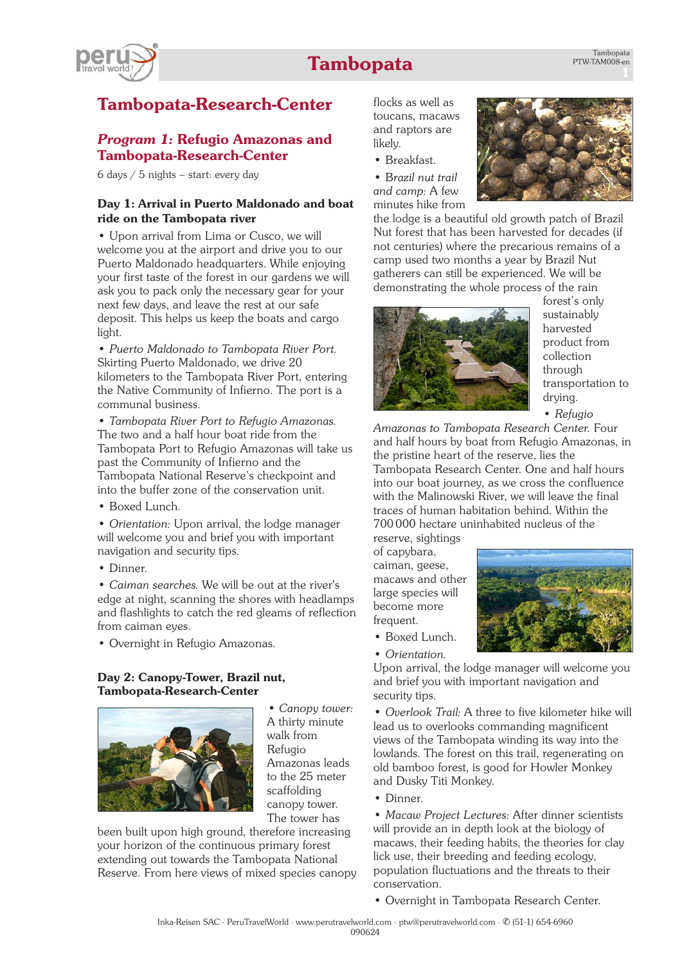# **Tambopata**



# **Tambopata-Research-Center**

### *Program 1:* **Refugio Amazonas and Tambopata-Research-Center**

6 days / 5 nights – start: every day

### **Day 1: Arrival in Puerto Maldonado and boat ride on the Tambopata river**

• Upon arrival from Lima or Cusco, we will welcome you at the airport and drive you to our Puerto Maldonado headquarters. While enjoying your first taste of the forest in our gardens we will ask you to pack only the necessary gear for your next few days, and leave the rest at our safe deposit. This helps us keep the boats and cargo light.

• *Puerto Maldonado to Tambopata River Port.* Skirting Puerto Maldonado, we drive 20 kilometers to the Tambopata River Port, entering the Native Community of Infierno. The port is a communal business.

• *Tambopata River Port to Refugio Amazonas.* The two and a half hour boat ride from the Tambopata Port to Refugio Amazonas will take us past the Community of Infierno and the Tambopata National Reserve's checkpoint and into the buffer zone of the conservation unit.

• Boxed Lunch.

• *Orientation:* Upon arrival, the lodge manager will welcome you and brief you with important navigation and security tips.

• Dinner.

• *Caiman searches.* We will be out at the river's edge at night, scanning the shores with headlamps and flashlights to catch the red gleams of reflection from caiman eyes.

• Overnight in Refugio Amazonas.

#### **Day 2: Canopy-Tower, Brazil nut, Tambopata-Research-Center**



*• Canopy tower:* A thirty minute walk from Refugio Amazonas leads to the 25 meter scaffolding canopy tower. The tower has

been built upon high ground, therefore increasing your horizon of the continuous primary forest extending out towards the Tambopata National Reserve. From here views of mixed species canopy flocks as well as toucans, macaws and raptors are likely.

• Breakfast.

• B*razil nut trail and camp:* A few minutes hike from



the lodge is a beautiful old growth patch of Brazil Nut forest that has been harvested for decades (if not centuries) where the precarious remains of a camp used two months a year by Brazil Nut gatherers can still be experienced. We will be demonstrating the whole process of the rain



forest's only sustainably harvested product from collection through transportation to drying.

• *Refugio*

*Amazonas to Tambopata Research Center.* Four and half hours by boat from Refugio Amazonas, in the pristine heart of the reserve, lies the Tambopata Research Center. One and half hours into our boat journey, as we cross the confluence with the Malinowski River, we will leave the final traces of human habitation behind. Within the 700000 hectare uninhabited nucleus of the

reserve, sightings of capybara, caiman, geese, macaws and other large species will become more frequent.



- Boxed Lunch.
- *Orientation.*

Upon arrival, the lodge manager will welcome you and brief you with important navigation and security tips.

• *Overlook Trail:* A three to five kilometer hike will lead us to overlooks commanding magnificent views of the Tambopata winding its way into the lowlands. The forest on this trail, regenerating on old bamboo forest, is good for Howler Monkey and Dusky Titi Monkey.

• Dinner.

• *Macaw Project Lectures:* After dinner scientists will provide an in depth look at the biology of macaws, their feeding habits, the theories for clay lick use, their breeding and feeding ecology, population fluctuations and the threats to their conservation.

• Overnight in Tambopata Research Center.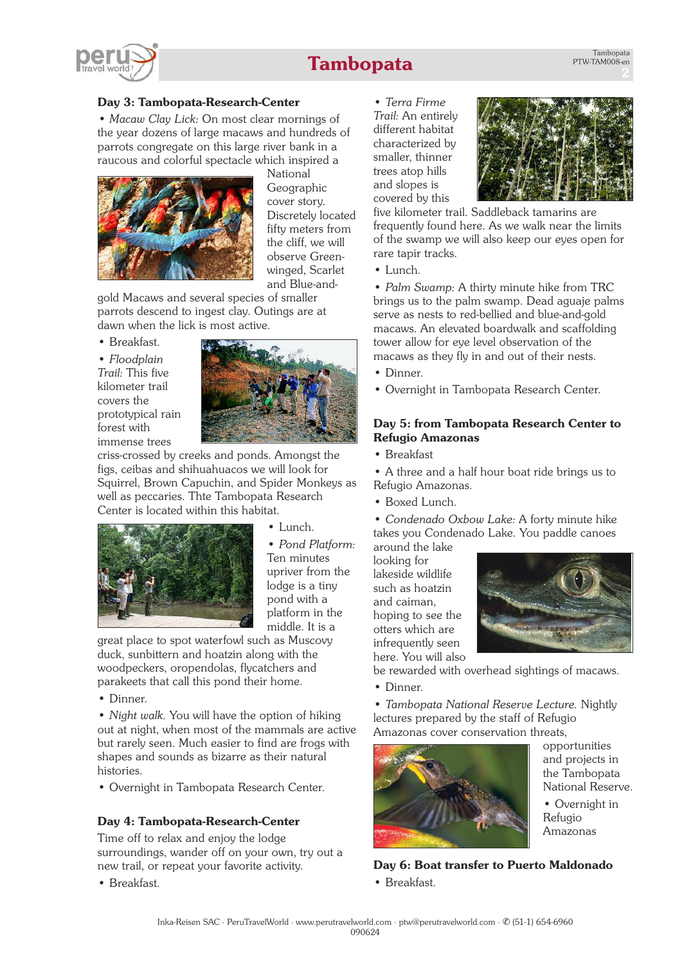

# **Tambopata**

### **Day 3: Tambopata-Research-Center**

*• Macaw Clay Lick:* On most clear mornings of the year dozens of large macaws and hundreds of parrots congregate on this large river bank in a raucous and colorful spectacle which inspired a



National Geographic cover story. Discretely located fifty meters from the cliff, we will observe Greenwinged, Scarlet and Blue-and-

gold Macaws and several species of smaller parrots descend to ingest clay. Outings are at dawn when the lick is most active.

• Breakfast.

• *Floodplain Trail:* This five kilometer trail covers the prototypical rain forest with immense trees



criss-crossed by creeks and ponds. Amongst the figs, ceibas and shihuahuacos we will look for Squirrel, Brown Capuchin, and Spider Monkeys as well as peccaries. Thte Tambopata Research Center is located within this habitat.



• Lunch.

• *Pond Platform:* Ten minutes upriver from the lodge is a tiny pond with a platform in the middle. It is a

great place to spot waterfowl such as Muscovy duck, sunbittern and hoatzin along with the woodpeckers, oropendolas, flycatchers and parakeets that call this pond their home.

• Dinner.

• *Night walk.* You will have the option of hiking out at night, when most of the mammals are active but rarely seen. Much easier to find are frogs with shapes and sounds as bizarre as their natural histories.

• Overnight in Tambopata Research Center.

### **Day 4: Tambopata-Research-Center**

Time off to relax and enjoy the lodge surroundings, wander off on your own, try out a new trail, or repeat your favorite activity.

• Breakfast.

• *Terra Firme Trail:* An entirely different habitat characterized by smaller, thinner trees atop hills and slopes is covered by this



five kilometer trail. Saddleback tamarins are frequently found here. As we walk near the limits of the swamp we will also keep our eyes open for rare tapir tracks.

• Lunch.

• *Palm Swamp:* A thirty minute hike from TRC brings us to the palm swamp. Dead aguaje palms serve as nests to red-bellied and blue-and-gold macaws. An elevated boardwalk and scaffolding tower allow for eye level observation of the macaws as they fly in and out of their nests.

• Dinner.

• Overnight in Tambopata Research Center.

#### **Day 5: from Tambopata Research Center to Refugio Amazonas**

• Breakfast

• A three and a half hour boat ride brings us to Refugio Amazonas.

• Boxed Lunch.

• *Condenado Oxbow Lake:* A forty minute hike takes you Condenado Lake. You paddle canoes around the lake

looking for lakeside wildlife such as hoatzin and caiman, hoping to see the otters which are infrequently seen here. You will also



be rewarded with overhead sightings of macaws.

• Dinner.

• *Tambopata National Reserve Lecture.* Nightly lectures prepared by the staff of Refugio Amazonas cover conservation threats,



opportunities and projects in the Tambopata National Reserve.

• Overnight in Refugio Amazonas

**Day 6: Boat transfer to Puerto Maldonado** • Breakfast.